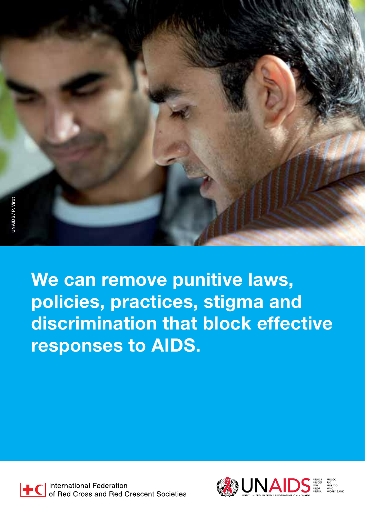We can remove punitive laws, policies, practices, stigma and discrimination that block effective responses to AIDS.



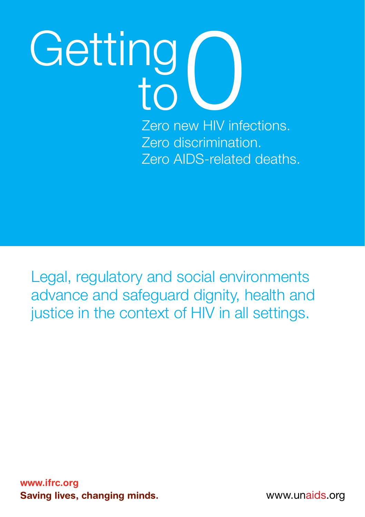Zero new HIV infections. Zero discrimination. Zero AIDS-related deaths.

Legal, regulatory and social environments advance and safeguard dignity, health and justice in the context of HIV in all settings.

www.ifrc.org Saving lives, changing minds. The same www.unaids.org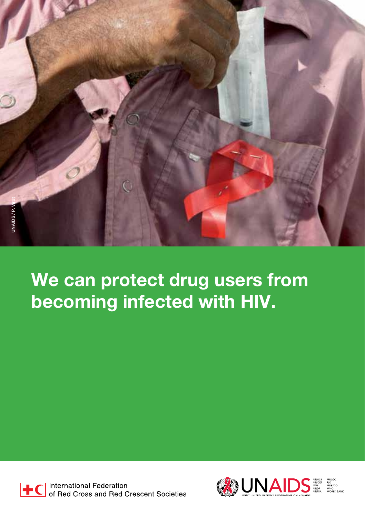

### We can protect drug users from becoming infected with HIV.



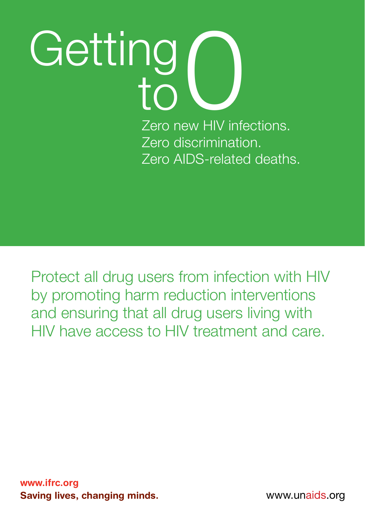Zero new HIV infections. Zero discrimination. Zero AIDS-related deaths.

Protect all drug users from infection with HIV by promoting harm reduction interventions and ensuring that all drug users living with HIV have access to HIV treatment and care.

www.ifrc.org Saving lives, changing minds. The same www.unaids.org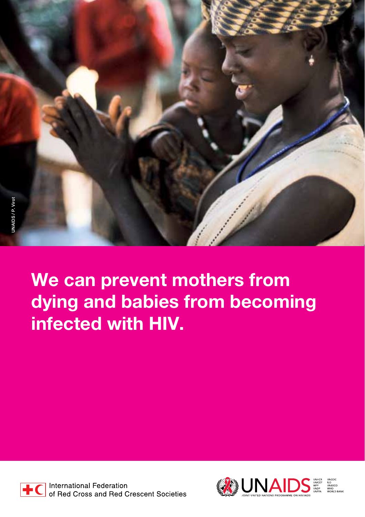We can prevent mothers from dying and babies from becoming infected with HIV.



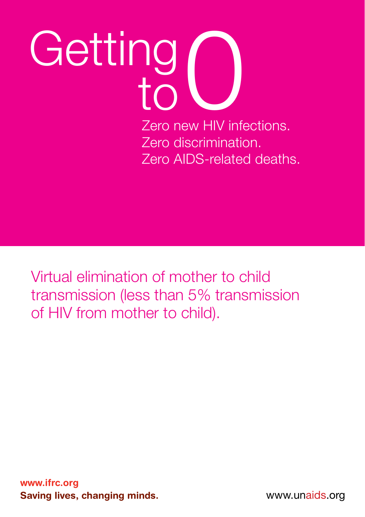Zero new HIV infections. Zero discrimination. Zero AIDS-related deaths.

Virtual elimination of mother to child transmission (less than 5% transmission of HIV from mother to child).

www.ifrc.org Saving lives, changing minds.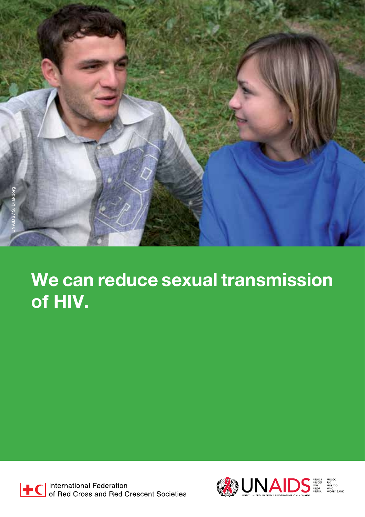

### We can reduce sexual transmission of HIV.



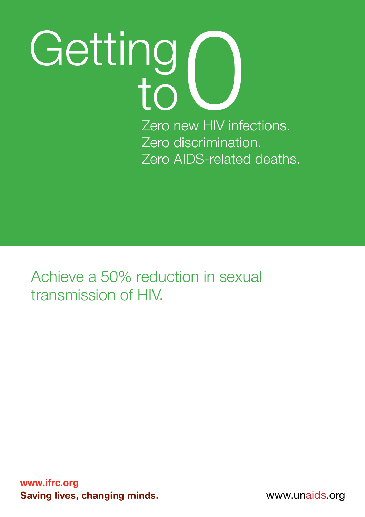Zero new HIV infections. Zero discrimination. Zero AIDS-related deaths.

Achieve a 50% reduction in sexual transmission of HIV.

www.ifrc.org Saving lives, changing minds.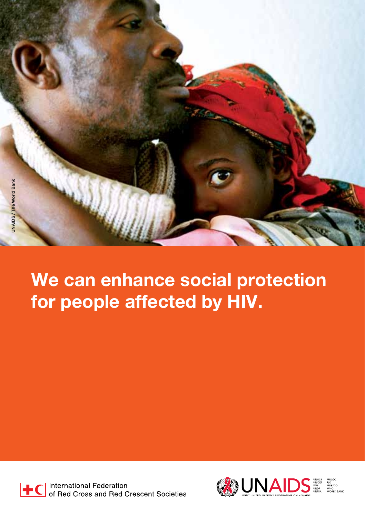

#### We can enhance social protection for people affected by HIV.



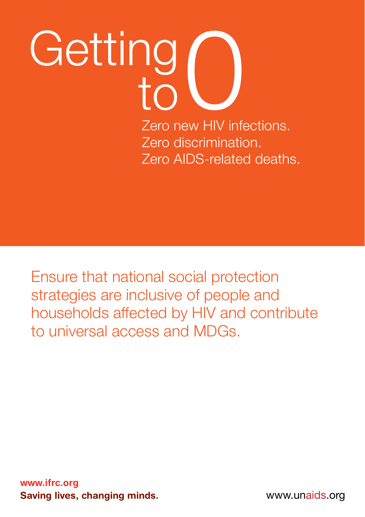### Zero new HIV infections. Getting  $\frac{10}{10}$

Zero discrimination. Zero AIDS-related deaths.

Ensure that national social protection strategies are inclusive of people and households affected by HIV and contribute to universal access and MDGs.

www.ifrc.org Saving lives, changing minds.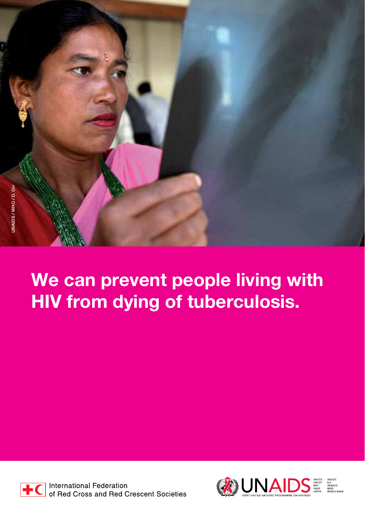### We can prevent people living with HIV from dying of tuberculosis.



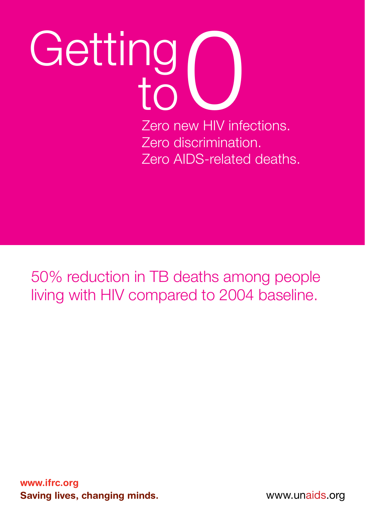Zero new HIV infections. Zero discrimination. Zero AIDS-related deaths.

50% reduction in TB deaths among people living with HIV compared to 2004 baseline.

www.ifrc.org Saving lives, changing minds.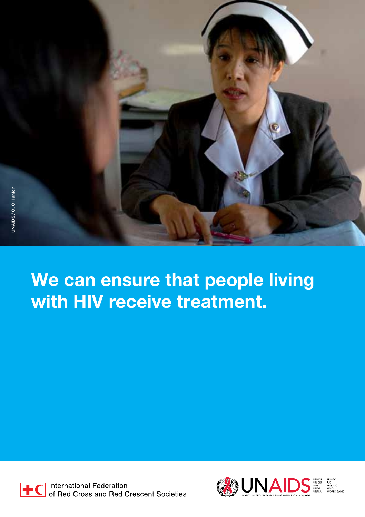

### We can ensure that people living with HIV receive treatment.



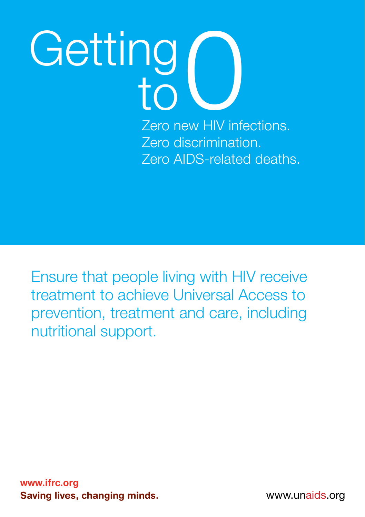Zero new HIV infections. Zero discrimination. Zero AIDS-related deaths.

Ensure that people living with HIV receive treatment to achieve Universal Access to prevention, treatment and care, including nutritional support.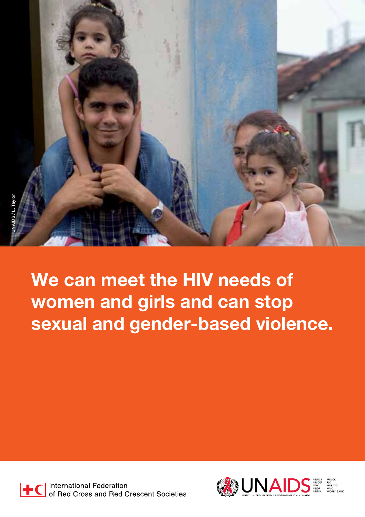

We can meet the HIV needs of women and girls and can stop sexual and gender-based violence.



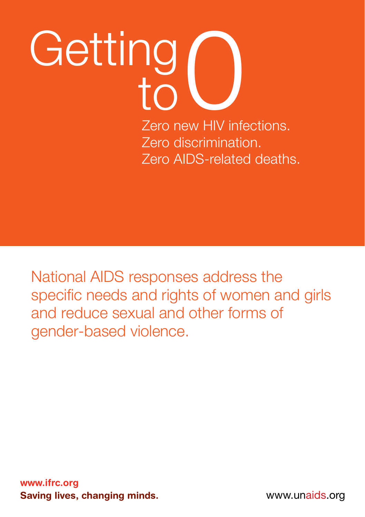### Zero new HIV infections. Getting  $\frac{10}{10}$

Zero discrimination. Zero AIDS-related deaths.

National AIDS responses address the specific needs and rights of women and girls and reduce sexual and other forms of gender-based violence.

www.ifrc.org Saving lives, changing minds.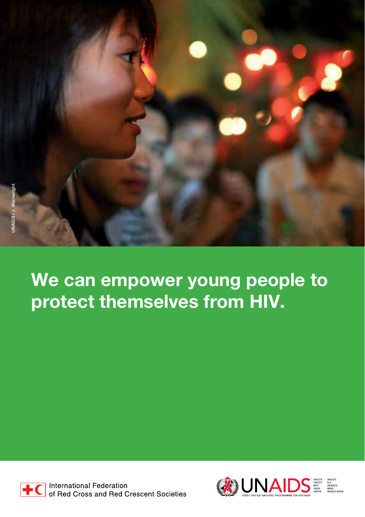

### We can empower young people to protect themselves from HIV.



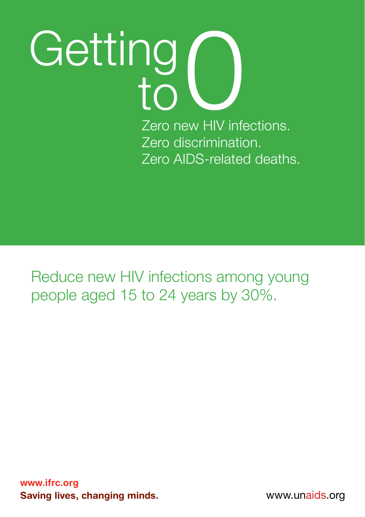Zero new HIV infections. Zero discrimination. Zero AIDS-related deaths.

Reduce new HIV infections among young people aged 15 to 24 years by 30%.

www.ifrc.org Saving lives, changing minds.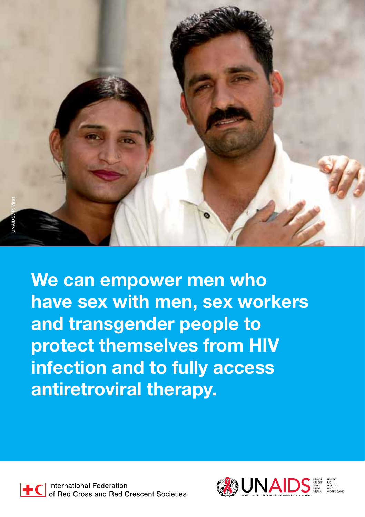

We can empower men who have sex with men, sex workers and transgender people to protect themselves from HIV infection and to fully access antiretroviral therapy.